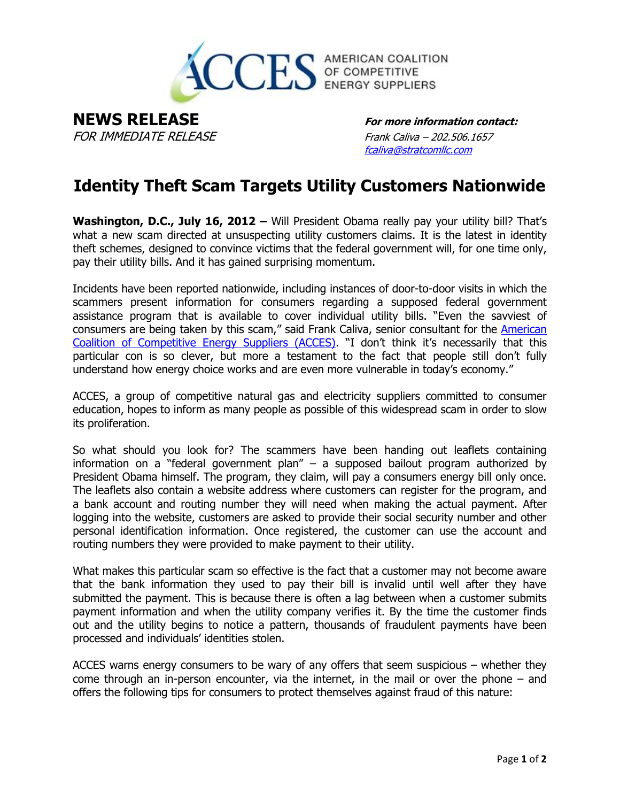

**NEWS RELEASE For more information contact:**  FOR IMMEDIATE RELEASE Frank Caliva – 202.506.1657

[fcaliva@stratcomllc.com](mailto:fcaliva@stratcomllc.com)

## **Identity Theft Scam Targets Utility Customers Nationwide**

**Washington, D.C., July 16, 2012 –** Will President Obama really pay your utility bill? That's what a new scam directed at unsuspecting utility customers claims. It is the latest in identity theft schemes, designed to convince victims that the federal government will, for one time only, pay their utility bills. And it has gained surprising momentum.

Incidents have been reported nationwide, including instances of door-to-door visits in which the scammers present information for consumers regarding a supposed federal government assistance program that is available to cover individual utility bills. "Even the savviest of consumers are being taken by this scam," said Frank Caliva, senior consultant for the [American](http://www.competitiveenergy.org/)  [Coalition of Competitive Energy Suppliers \(ACCES\)](http://www.competitiveenergy.org/). "I don't think it's necessarily that this particular con is so clever, but more a testament to the fact that people still don't fully understand how energy choice works and are even more vulnerable in today's economy."

ACCES, a group of competitive natural gas and electricity suppliers committed to consumer education, hopes to inform as many people as possible of this widespread scam in order to slow its proliferation.

So what should you look for? The scammers have been handing out leaflets containing information on a "federal government plan" – a supposed bailout program authorized by President Obama himself. The program, they claim, will pay a consumers energy bill only once. The leaflets also contain a website address where customers can register for the program, and a bank account and routing number they will need when making the actual payment. After logging into the website, customers are asked to provide their social security number and other personal identification information. Once registered, the customer can use the account and routing numbers they were provided to make payment to their utility.

What makes this particular scam so effective is the fact that a customer may not become aware that the bank information they used to pay their bill is invalid until well after they have submitted the payment. This is because there is often a lag between when a customer submits payment information and when the utility company verifies it. By the time the customer finds out and the utility begins to notice a pattern, thousands of fraudulent payments have been processed and individuals' identities stolen.

ACCES warns energy consumers to be wary of any offers that seem suspicious – whether they come through an in-person encounter, via the internet, in the mail or over the phone – and offers the following tips for consumers to protect themselves against fraud of this nature: